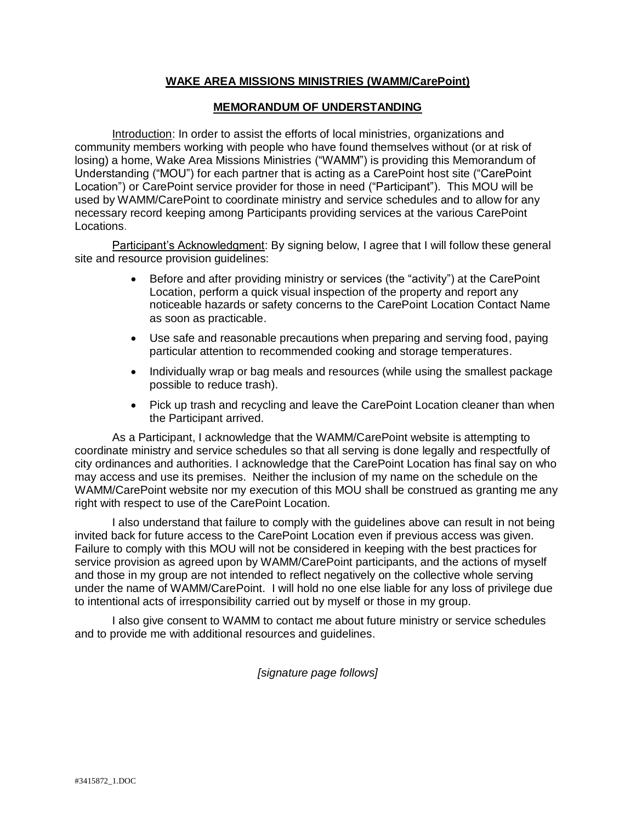## **WAKE AREA MISSIONS MINISTRIES (WAMM/CarePoint)**

## **MEMORANDUM OF UNDERSTANDING**

Introduction: In order to assist the efforts of local ministries, organizations and community members working with people who have found themselves without (or at risk of losing) a home, Wake Area Missions Ministries ("WAMM") is providing this Memorandum of Understanding ("MOU") for each partner that is acting as a CarePoint host site ("CarePoint Location") or CarePoint service provider for those in need ("Participant"). This MOU will be used by WAMM/CarePoint to coordinate ministry and service schedules and to allow for any necessary record keeping among Participants providing services at the various CarePoint Locations.

Participant's Acknowledgment: By signing below, I agree that I will follow these general site and resource provision guidelines:

- Before and after providing ministry or services (the "activity") at the CarePoint Location, perform a quick visual inspection of the property and report any noticeable hazards or safety concerns to the CarePoint Location Contact Name as soon as practicable.
- Use safe and reasonable precautions when preparing and serving food, paying particular attention to recommended cooking and storage temperatures.
- Individually wrap or bag meals and resources (while using the smallest package possible to reduce trash).
- Pick up trash and recycling and leave the CarePoint Location cleaner than when the Participant arrived.

As a Participant, I acknowledge that the WAMM/CarePoint website is attempting to coordinate ministry and service schedules so that all serving is done legally and respectfully of city ordinances and authorities. I acknowledge that the CarePoint Location has final say on who may access and use its premises. Neither the inclusion of my name on the schedule on the WAMM/CarePoint website nor my execution of this MOU shall be construed as granting me any right with respect to use of the CarePoint Location.

I also understand that failure to comply with the guidelines above can result in not being invited back for future access to the CarePoint Location even if previous access was given. Failure to comply with this MOU will not be considered in keeping with the best practices for service provision as agreed upon by WAMM/CarePoint participants, and the actions of myself and those in my group are not intended to reflect negatively on the collective whole serving under the name of WAMM/CarePoint. I will hold no one else liable for any loss of privilege due to intentional acts of irresponsibility carried out by myself or those in my group.

I also give consent to WAMM to contact me about future ministry or service schedules and to provide me with additional resources and guidelines.

*[signature page follows]*